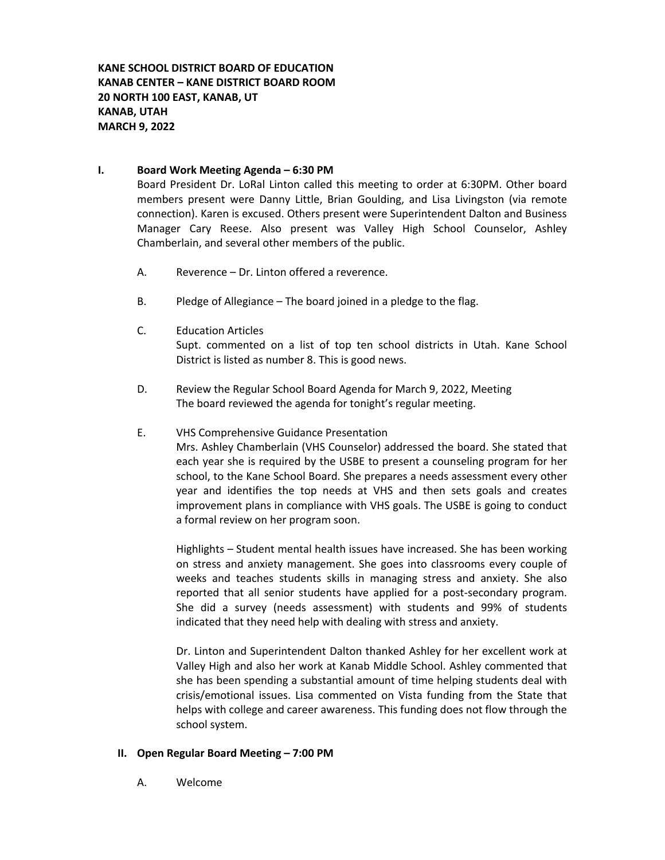**KANE SCHOOL DISTRICT BOARD OF EDUCATION KANAB CENTER – KANE DISTRICT BOARD ROOM 20 NORTH 100 EAST, KANAB, UT KANAB, UTAH MARCH 9, 2022**

### **I. Board Work Meeting Agenda – 6:30 PM**

Board President Dr. LoRal Linton called this meeting to order at 6:30PM. Other board members present were Danny Little, Brian Goulding, and Lisa Livingston (via remote connection). Karen is excused. Others present were Superintendent Dalton and Business Manager Cary Reese. Also present was Valley High School Counselor, Ashley Chamberlain, and several other members of the public.

- A. Reverence Dr. Linton offered a reverence.
- B. Pledge of Allegiance The board joined in a pledge to the flag.
- C. Education Articles Supt. commented on a list of top ten school districts in Utah. Kane School District is listed as number 8. This is good news.
- D. Review the Regular School Board Agenda for March 9, 2022, Meeting The board reviewed the agenda for tonight's regular meeting.

### E. VHS Comprehensive Guidance Presentation

Mrs. Ashley Chamberlain (VHS Counselor) addressed the board. She stated that each year she is required by the USBE to present a counseling program for her school, to the Kane School Board. She prepares a needs assessment every other year and identifies the top needs at VHS and then sets goals and creates improvement plans in compliance with VHS goals. The USBE is going to conduct a formal review on her program soon.

Highlights – Student mental health issues have increased. She has been working on stress and anxiety management. She goes into classrooms every couple of weeks and teaches students skills in managing stress and anxiety. She also reported that all senior students have applied for a post-secondary program. She did a survey (needs assessment) with students and 99% of students indicated that they need help with dealing with stress and anxiety.

Dr. Linton and Superintendent Dalton thanked Ashley for her excellent work at Valley High and also her work at Kanab Middle School. Ashley commented that she has been spending a substantial amount of time helping students deal with crisis/emotional issues. Lisa commented on Vista funding from the State that helps with college and career awareness. This funding does not flow through the school system.

### **II. Open Regular Board Meeting – 7:00 PM**

A. Welcome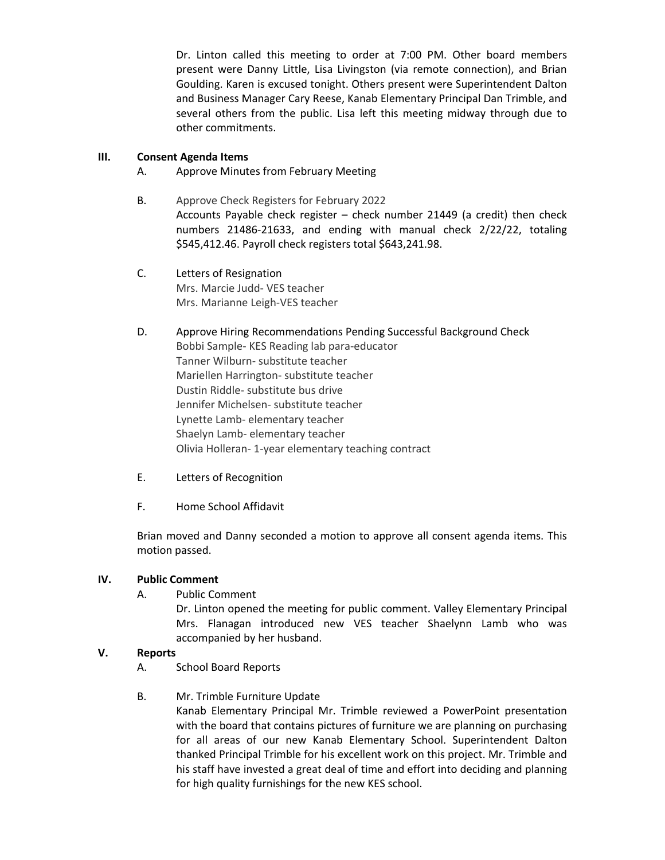Dr. Linton called this meeting to order at 7:00 PM. Other board members present were Danny Little, Lisa Livingston (via remote connection), and Brian Goulding. Karen is excused tonight. Others present were Superintendent Dalton and Business Manager Cary Reese, Kanab Elementary Principal Dan Trimble, and several others from the public. Lisa left this meeting midway through due to other commitments.

## **III. Consent Agenda Items**

- A. Approve Minutes from February Meeting
- B. Approve Check Registers for February 2022 Accounts Payable check register – check number 21449 (a credit) then check numbers 21486-21633, and ending with manual check 2/22/22, totaling \$545,412.46. Payroll check registers total \$643,241.98.
- C. Letters of Resignation Mrs. Marcie Judd- VES teacher Mrs. Marianne Leigh-VES teacher
- D. Approve Hiring Recommendations Pending Successful Background Check Bobbi Sample- KES Reading lab para-educator Tanner Wilburn- substitute teacher Mariellen Harrington- substitute teacher Dustin Riddle- substitute bus drive Jennifer Michelsen- substitute teacher Lynette Lamb- elementary teacher Shaelyn Lamb- elementary teacher Olivia Holleran- 1-year elementary teaching contract
- E. Letters of Recognition
- F. Home School Affidavit

Brian moved and Danny seconded a motion to approve all consent agenda items. This motion passed.

## **IV. Public Comment**

A. Public Comment

Dr. Linton opened the meeting for public comment. Valley Elementary Principal Mrs. Flanagan introduced new VES teacher Shaelynn Lamb who was accompanied by her husband.

# **V. Reports**

- A. School Board Reports
- B. Mr. Trimble Furniture Update

Kanab Elementary Principal Mr. Trimble reviewed a PowerPoint presentation with the board that contains pictures of furniture we are planning on purchasing for all areas of our new Kanab Elementary School. Superintendent Dalton thanked Principal Trimble for his excellent work on this project. Mr. Trimble and his staff have invested a great deal of time and effort into deciding and planning for high quality furnishings for the new KES school.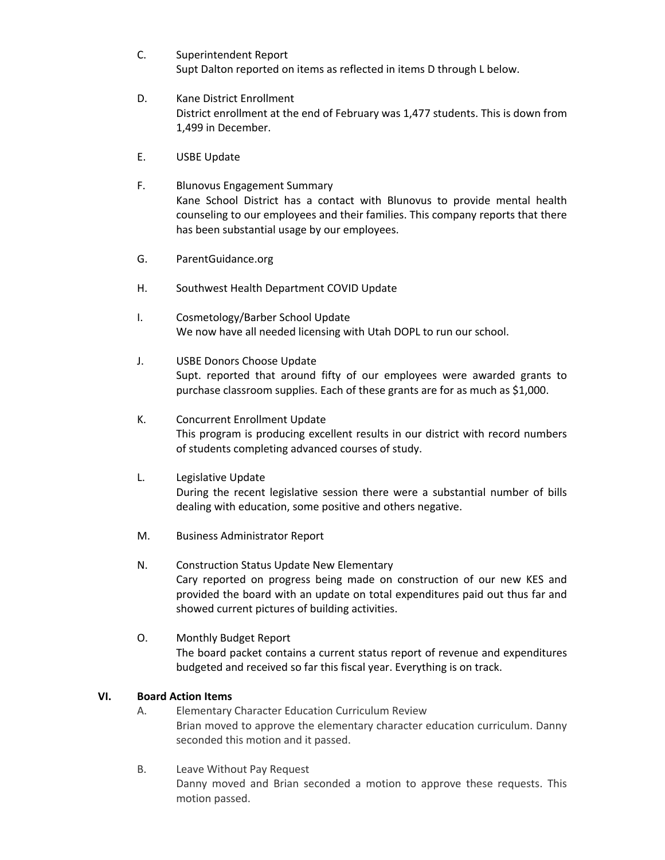- C. Superintendent Report Supt Dalton reported on items as reflected in items D through L below.
- D. Kane District Enrollment District enrollment at the end of February was 1,477 students. This is down from 1,499 in December.
- E. USBE Update
- F. Blunovus Engagement Summary Kane School District has a contact with Blunovus to provide mental health counseling to our employees and their families. This company reports that there has been substantial usage by our employees.
- G. ParentGuidance.org
- H. Southwest Health Department COVID Update
- I. Cosmetology/Barber School Update We now have all needed licensing with Utah DOPL to run our school.
- J. USBE Donors Choose Update Supt. reported that around fifty of our employees were awarded grants to purchase classroom supplies. Each of these grants are for as much as \$1,000.
- K. Concurrent Enrollment Update This program is producing excellent results in our district with record numbers of students completing advanced courses of study.
- L. Legislative Update During the recent legislative session there were a substantial number of bills dealing with education, some positive and others negative.
- M. Business Administrator Report
- N. Construction Status Update New Elementary Cary reported on progress being made on construction of our new KES and provided the board with an update on total expenditures paid out thus far and showed current pictures of building activities.
- O. Monthly Budget Report The board packet contains a current status report of revenue and expenditures budgeted and received so far this fiscal year. Everything is on track.

### **VI. Board Action Items**

- A. Elementary Character Education Curriculum Review Brian moved to approve the elementary character education curriculum. Danny seconded this motion and it passed.
- B. Leave Without Pay Request Danny moved and Brian seconded a motion to approve these requests. This motion passed.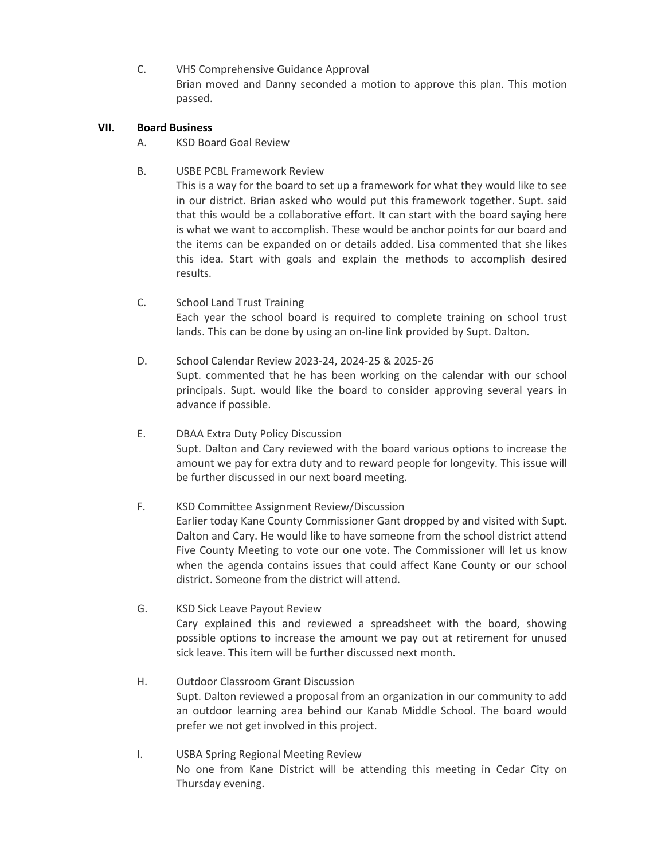C. VHS Comprehensive Guidance Approval Brian moved and Danny seconded a motion to approve this plan. This motion passed.

## **VII. Board Business**

- A. KSD Board Goal Review
- B. USBE PCBL Framework Review This is a way for the board to set up a framework for what they would like to see in our district. Brian asked who would put this framework together. Supt. said that this would be a collaborative effort. It can start with the board saying here is what we want to accomplish. These would be anchor points for our board and the items can be expanded on or details added. Lisa commented that she likes this idea. Start with goals and explain the methods to accomplish desired results.
- C. School Land Trust Training Each year the school board is required to complete training on school trust lands. This can be done by using an on-line link provided by Supt. Dalton.
- D. School Calendar Review 2023-24, 2024-25 & 2025-26 Supt. commented that he has been working on the calendar with our school principals. Supt. would like the board to consider approving several years in advance if possible.
- E. DBAA Extra Duty Policy Discussion Supt. Dalton and Cary reviewed with the board various options to increase the amount we pay for extra duty and to reward people for longevity. This issue will be further discussed in our next board meeting.
- F. KSD Committee Assignment Review/Discussion Earlier today Kane County Commissioner Gant dropped by and visited with Supt. Dalton and Cary. He would like to have someone from the school district attend Five County Meeting to vote our one vote. The Commissioner will let us know when the agenda contains issues that could affect Kane County or our school district. Someone from the district will attend.
- G. KSD Sick Leave Payout Review Cary explained this and reviewed a spreadsheet with the board, showing possible options to increase the amount we pay out at retirement for unused sick leave. This item will be further discussed next month.
- H. Outdoor Classroom Grant Discussion Supt. Dalton reviewed a proposal from an organization in our community to add an outdoor learning area behind our Kanab Middle School. The board would prefer we not get involved in this project.
- I. USBA Spring Regional Meeting Review No one from Kane District will be attending this meeting in Cedar City on Thursday evening.